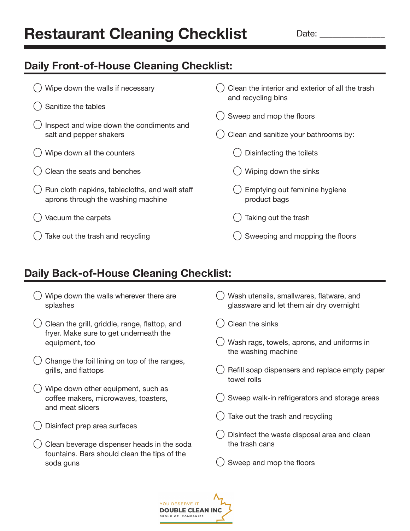## **Restaurant Cleaning Checklist**

Date:

## **Daily Front-of-House Cleaning Checklist:**

| Wipe down the walls if necessary                                                     | Clean the interior and exterior of all the trash<br>and recycling bins |
|--------------------------------------------------------------------------------------|------------------------------------------------------------------------|
| Sanitize the tables                                                                  | Sweep and mop the floors                                               |
| Inspect and wipe down the condiments and<br>salt and pepper shakers                  | Clean and sanitize your bathrooms by:                                  |
| Wipe down all the counters                                                           | Disinfecting the toilets                                               |
| Clean the seats and benches                                                          | Wiping down the sinks                                                  |
| Run cloth napkins, tablecloths, and wait staff<br>aprons through the washing machine | Emptying out feminine hygiene<br>product bags                          |
| Vacuum the carpets                                                                   | Taking out the trash                                                   |
| Take out the trash and recycling                                                     | Sweeping and mopping the floors                                        |

## **Daily Back-of-House Cleaning Checklist:**

- $\left( \ \right)$  Wipe down the walls wherever there are splashes
- Clean the grill, griddle, range, flattop, and fryer. Make sure to get underneath the equipment, too
- $\dot{O}$  Change the foil lining on top of the ranges, grills, and flattops
- $\overline{O}$  Wipe down other equipment, such as coffee makers, microwaves, toasters, and meat slicers
- Disinfect prep area surfaces
- Clean beverage dispenser heads in the soda fountains. Bars should clean the tips of the soda guns
- $($   $)$  Wash utensils, smallwares, flatware, and glassware and let them air dry overnight
- Clean the sinks
- $\bigcirc$  Wash rags, towels, aprons, and uniforms in the washing machine
- () Refill soap dispensers and replace empty paper towel rolls
- Sweep walk-in refrigerators and storage areas
- Take out the trash and recycling
- $\bigcirc$  Disinfect the waste disposal area and clean the trash cans
- Sweep and mop the floors